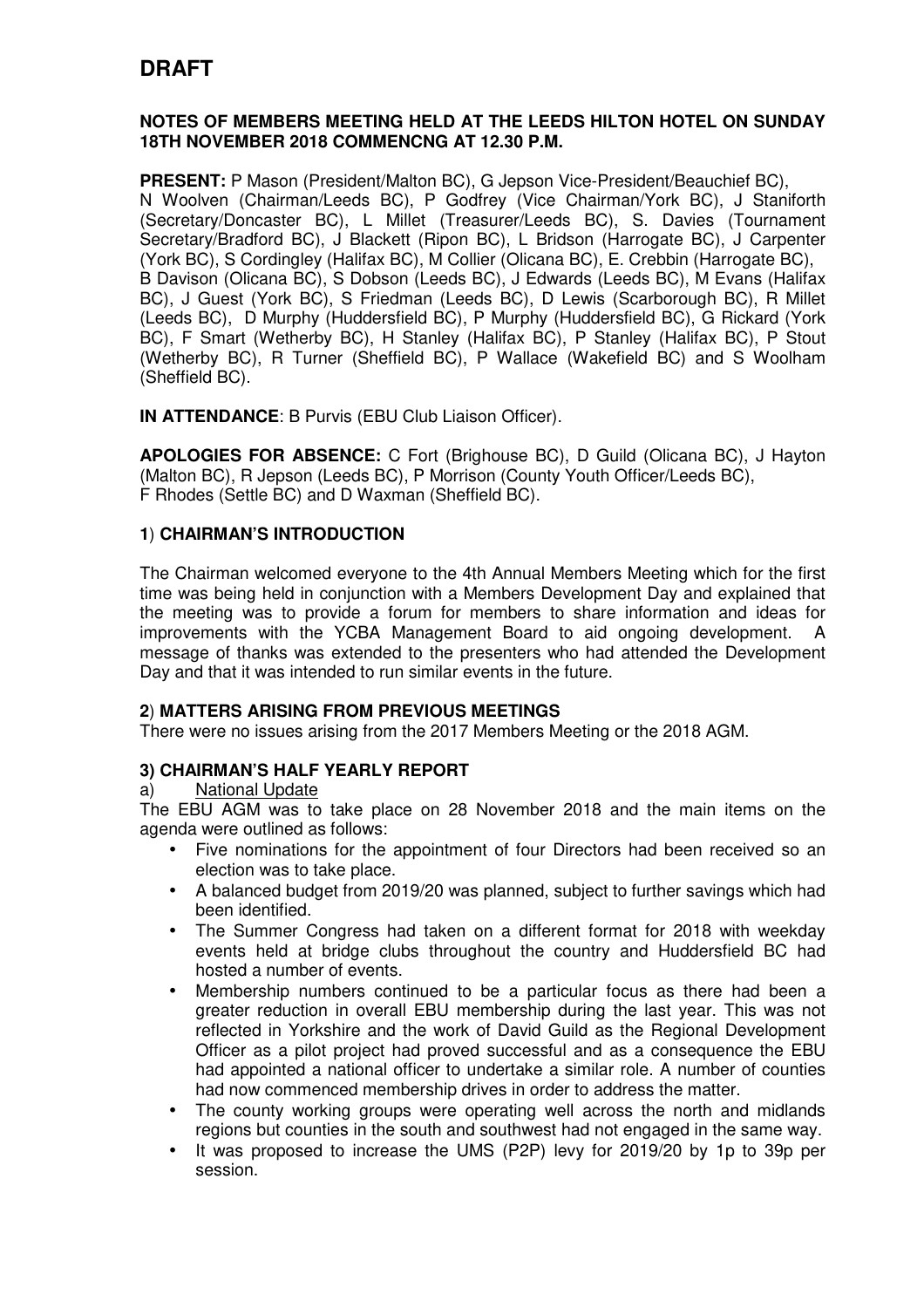# **DRAFT**

### **NOTES OF MEMBERS MEETING HELD AT THE LEEDS HILTON HOTEL ON SUNDAY 18TH NOVEMBER 2018 COMMENCNG AT 12.30 P.M.**

**PRESENT:** P Mason (President/Malton BC), G Jepson Vice-President/Beauchief BC), N Woolven (Chairman/Leeds BC), P Godfrey (Vice Chairman/York BC), J Staniforth (Secretary/Doncaster BC), L Millet (Treasurer/Leeds BC), S. Davies (Tournament Secretary/Bradford BC), J Blackett (Ripon BC), L Bridson (Harrogate BC), J Carpenter (York BC), S Cordingley (Halifax BC), M Collier (Olicana BC), E. Crebbin (Harrogate BC), B Davison (Olicana BC), S Dobson (Leeds BC), J Edwards (Leeds BC), M Evans (Halifax BC), J Guest (York BC), S Friedman (Leeds BC), D Lewis (Scarborough BC), R Millet (Leeds BC), D Murphy (Huddersfield BC), P Murphy (Huddersfield BC), G Rickard (York BC), F Smart (Wetherby BC), H Stanley (Halifax BC), P Stanley (Halifax BC), P Stout (Wetherby BC), R Turner (Sheffield BC), P Wallace (Wakefield BC) and S Woolham (Sheffield BC).

**IN ATTENDANCE**: B Purvis (EBU Club Liaison Officer).

**APOLOGIES FOR ABSENCE:** C Fort (Brighouse BC), D Guild (Olicana BC), J Hayton (Malton BC), R Jepson (Leeds BC), P Morrison (County Youth Officer/Leeds BC), F Rhodes (Settle BC) and D Waxman (Sheffield BC).

## **1**) **CHAIRMAN'S INTRODUCTION**

The Chairman welcomed everyone to the 4th Annual Members Meeting which for the first time was being held in conjunction with a Members Development Day and explained that the meeting was to provide a forum for members to share information and ideas for improvements with the YCBA Management Board to aid ongoing development. A message of thanks was extended to the presenters who had attended the Development Day and that it was intended to run similar events in the future.

### **2**) **MATTERS ARISING FROM PREVIOUS MEETINGS**

There were no issues arising from the 2017 Members Meeting or the 2018 AGM.

## **3) CHAIRMAN'S HALF YEARLY REPORT**

### a) National Update

The EBU AGM was to take place on 28 November 2018 and the main items on the agenda were outlined as follows:

- Five nominations for the appointment of four Directors had been received so an election was to take place.
- A balanced budget from 2019/20 was planned, subject to further savings which had been identified.
- The Summer Congress had taken on a different format for 2018 with weekday events held at bridge clubs throughout the country and Huddersfield BC had hosted a number of events.
- Membership numbers continued to be a particular focus as there had been a greater reduction in overall EBU membership during the last year. This was not reflected in Yorkshire and the work of David Guild as the Regional Development Officer as a pilot project had proved successful and as a consequence the EBU had appointed a national officer to undertake a similar role. A number of counties had now commenced membership drives in order to address the matter.
- The county working groups were operating well across the north and midlands regions but counties in the south and southwest had not engaged in the same way.
- It was proposed to increase the UMS (P2P) levy for 2019/20 by 1p to 39p per session.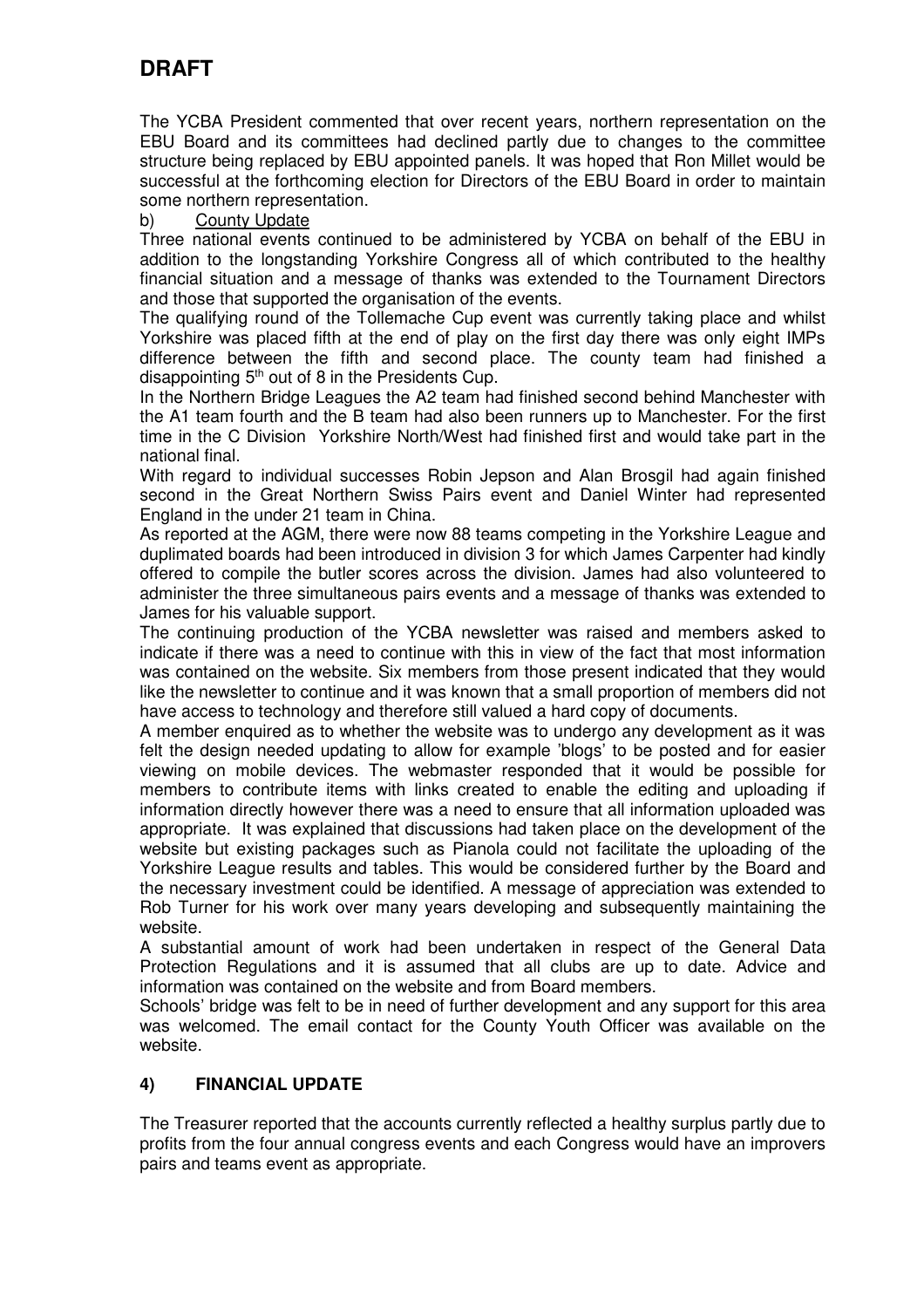# **DRAFT**

The YCBA President commented that over recent years, northern representation on the EBU Board and its committees had declined partly due to changes to the committee structure being replaced by EBU appointed panels. It was hoped that Ron Millet would be successful at the forthcoming election for Directors of the EBU Board in order to maintain some northern representation.

## b) County Update

Three national events continued to be administered by YCBA on behalf of the EBU in addition to the longstanding Yorkshire Congress all of which contributed to the healthy financial situation and a message of thanks was extended to the Tournament Directors and those that supported the organisation of the events.

The qualifying round of the Tollemache Cup event was currently taking place and whilst Yorkshire was placed fifth at the end of play on the first day there was only eight IMPs difference between the fifth and second place. The county team had finished a disappointing  $5<sup>th</sup>$  out of 8 in the Presidents Cup.

In the Northern Bridge Leagues the A2 team had finished second behind Manchester with the A1 team fourth and the B team had also been runners up to Manchester. For the first time in the C Division Yorkshire North/West had finished first and would take part in the national final.

With regard to individual successes Robin Jepson and Alan Brosgil had again finished second in the Great Northern Swiss Pairs event and Daniel Winter had represented England in the under 21 team in China.

As reported at the AGM, there were now 88 teams competing in the Yorkshire League and duplimated boards had been introduced in division 3 for which James Carpenter had kindly offered to compile the butler scores across the division. James had also volunteered to administer the three simultaneous pairs events and a message of thanks was extended to James for his valuable support.

The continuing production of the YCBA newsletter was raised and members asked to indicate if there was a need to continue with this in view of the fact that most information was contained on the website. Six members from those present indicated that they would like the newsletter to continue and it was known that a small proportion of members did not have access to technology and therefore still valued a hard copy of documents.

A member enquired as to whether the website was to undergo any development as it was felt the design needed updating to allow for example 'blogs' to be posted and for easier viewing on mobile devices. The webmaster responded that it would be possible for members to contribute items with links created to enable the editing and uploading if information directly however there was a need to ensure that all information uploaded was appropriate. It was explained that discussions had taken place on the development of the website but existing packages such as Pianola could not facilitate the uploading of the Yorkshire League results and tables. This would be considered further by the Board and the necessary investment could be identified. A message of appreciation was extended to Rob Turner for his work over many years developing and subsequently maintaining the website.

A substantial amount of work had been undertaken in respect of the General Data Protection Regulations and it is assumed that all clubs are up to date. Advice and information was contained on the website and from Board members.

Schools' bridge was felt to be in need of further development and any support for this area was welcomed. The email contact for the County Youth Officer was available on the website.

## **4) FINANCIAL UPDATE**

The Treasurer reported that the accounts currently reflected a healthy surplus partly due to profits from the four annual congress events and each Congress would have an improvers pairs and teams event as appropriate.